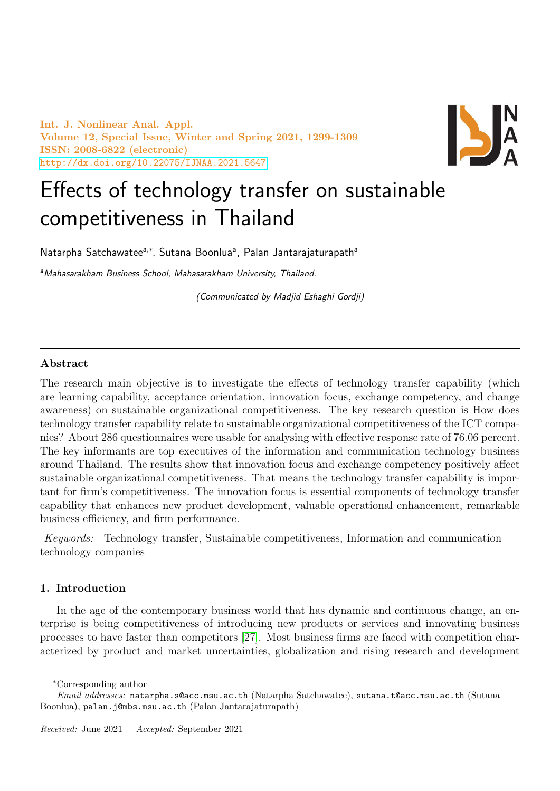Int. J. Nonlinear Anal. Appl. Volume 12, Special Issue, Winter and Spring 2021, 1299-1309 ISSN: 2008-6822 (electronic) <http://dx.doi.org/10.22075/IJNAA.2021.5647>



# Effects of technology transfer on sustainable competitiveness in Thailand

Natarpha Satchawatee<sup>a,\*</sup>, Sutana Boonlua<sup>a</sup>, Palan Jantarajaturapath<sup>a</sup>

aMahasarakham Business School, Mahasarakham University, Thailand.

(Communicated by Madjid Eshaghi Gordji)

# Abstract

The research main objective is to investigate the effects of technology transfer capability (which are learning capability, acceptance orientation, innovation focus, exchange competency, and change awareness) on sustainable organizational competitiveness. The key research question is How does technology transfer capability relate to sustainable organizational competitiveness of the ICT companies? About 286 questionnaires were usable for analysing with effective response rate of 76.06 percent. The key informants are top executives of the information and communication technology business around Thailand. The results show that innovation focus and exchange competency positively affect sustainable organizational competitiveness. That means the technology transfer capability is important for firm's competitiveness. The innovation focus is essential components of technology transfer capability that enhances new product development, valuable operational enhancement, remarkable business efficiency, and firm performance.

Keywords: Technology transfer, Sustainable competitiveness, Information and communication technology companies

## 1. Introduction

In the age of the contemporary business world that has dynamic and continuous change, an enterprise is being competitiveness of introducing new products or services and innovating business processes to have faster than competitors [\[27\]](#page-9-0). Most business firms are faced with competition characterized by product and market uncertainties, globalization and rising research and development

<sup>∗</sup>Corresponding author

Email addresses: natarpha.s@acc.msu.ac.th (Natarpha Satchawatee), sutana.t@acc.msu.ac.th (Sutana Boonlua), palan.j@mbs.msu.ac.th (Palan Jantarajaturapath)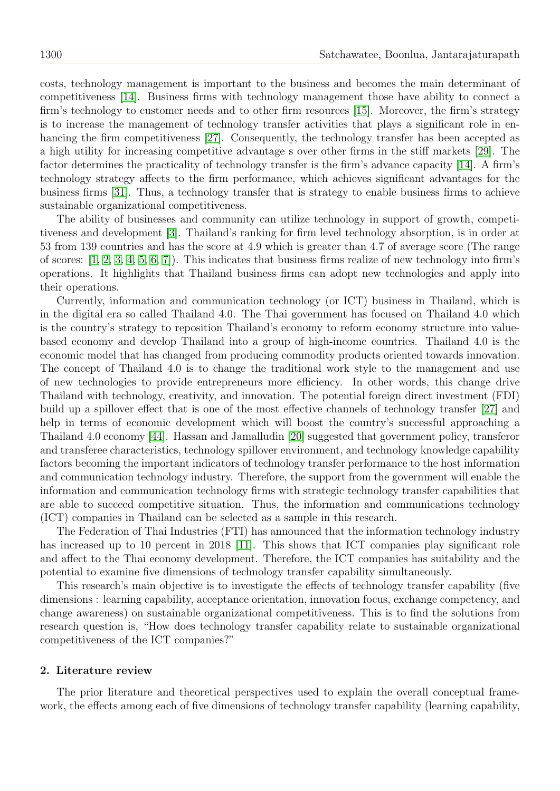costs, technology management is important to the business and becomes the main determinant of competitiveness [\[14\]](#page-9-1). Business firms with technology management those have ability to connect a firm's technology to customer needs and to other firm resources [\[15\]](#page-9-2). Moreover, the firm's strategy is to increase the management of technology transfer activities that plays a significant role in enhancing the firm competitiveness [\[27\]](#page-9-0). Consequently, the technology transfer has been accepted as a high utility for increasing competitive advantage s over other firms in the stiff markets [\[29\]](#page-9-3). The factor determines the practicality of technology transfer is the firm's advance capacity [\[14\]](#page-9-1). A firm's technology strategy affects to the firm performance, which achieves significant advantages for the business firms [\[31\]](#page-10-0). Thus, a technology transfer that is strategy to enable business firms to achieve sustainable organizational competitiveness.

The ability of businesses and community can utilize technology in support of growth, competitiveness and development [\[3\]](#page-8-0). Thailand's ranking for firm level technology absorption, is in order at 53 from 139 countries and has the score at 4.9 which is greater than 4.7 of average score (The range of scores: [\[1,](#page-8-1) [2,](#page-8-2) [3,](#page-8-0) [4,](#page-9-4) [5,](#page-9-5) [6,](#page-9-6) [7\]](#page-9-7)). This indicates that business firms realize of new technology into firm's operations. It highlights that Thailand business firms can adopt new technologies and apply into their operations.

Currently, information and communication technology (or ICT) business in Thailand, which is in the digital era so called Thailand 4.0. The Thai government has focused on Thailand 4.0 which is the country's strategy to reposition Thailand's economy to reform economy structure into valuebased economy and develop Thailand into a group of high-income countries. Thailand 4.0 is the economic model that has changed from producing commodity products oriented towards innovation. The concept of Thailand 4.0 is to change the traditional work style to the management and use of new technologies to provide entrepreneurs more efficiency. In other words, this change drive Thailand with technology, creativity, and innovation. The potential foreign direct investment (FDI) build up a spillover effect that is one of the most effective channels of technology transfer [\[27\]](#page-9-0) and help in terms of economic development which will boost the country's successful approaching a Thailand 4.0 economy [\[44\]](#page-10-1). Hassan and Jamalludin [\[20\]](#page-9-8) suggested that government policy, transferor and transferee characteristics, technology spillover environment, and technology knowledge capability factors becoming the important indicators of technology transfer performance to the host information and communication technology industry. Therefore, the support from the government will enable the information and communication technology firms with strategic technology transfer capabilities that are able to succeed competitive situation. Thus, the information and communications technology (ICT) companies in Thailand can be selected as a sample in this research.

The Federation of Thai Industries (FTI) has announced that the information technology industry has increased up to 10 percent in 2018 [\[11\]](#page-9-9). This shows that ICT companies play significant role and affect to the Thai economy development. Therefore, the ICT companies has suitability and the potential to examine five dimensions of technology transfer capability simultaneously.

This research's main objective is to investigate the effects of technology transfer capability (five dimensions : learning capability, acceptance orientation, innovation focus, exchange competency, and change awareness) on sustainable organizational competitiveness. This is to find the solutions from research question is, "How does technology transfer capability relate to sustainable organizational competitiveness of the ICT companies?"

## 2. Literature review

The prior literature and theoretical perspectives used to explain the overall conceptual framework, the effects among each of five dimensions of technology transfer capability (learning capability,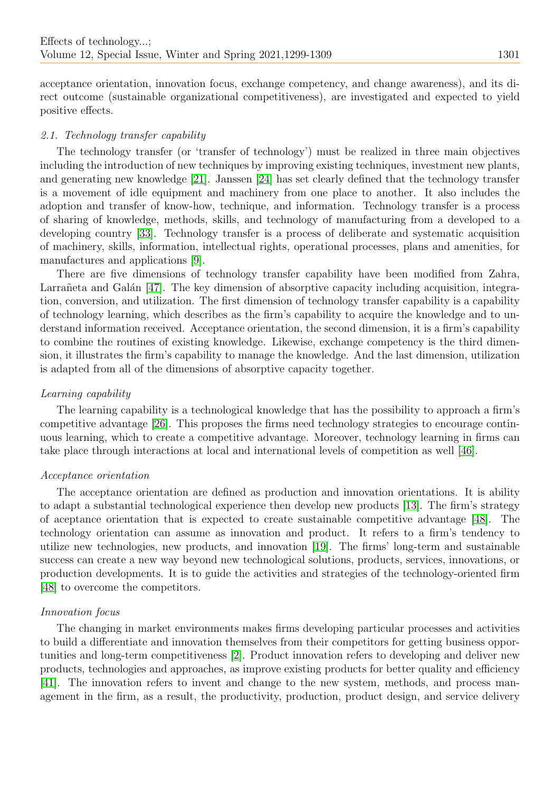acceptance orientation, innovation focus, exchange competency, and change awareness), and its direct outcome (sustainable organizational competitiveness), are investigated and expected to yield positive effects.

# 2.1. Technology transfer capability

The technology transfer (or 'transfer of technology') must be realized in three main objectives including the introduction of new techniques by improving existing techniques, investment new plants, and generating new knowledge [\[21\]](#page-9-10). Janssen [\[24\]](#page-9-11) has set clearly defined that the technology transfer is a movement of idle equipment and machinery from one place to another. It also includes the adoption and transfer of know-how, technique, and information. Technology transfer is a process of sharing of knowledge, methods, skills, and technology of manufacturing from a developed to a developing country [\[33\]](#page-10-2). Technology transfer is a process of deliberate and systematic acquisition of machinery, skills, information, intellectual rights, operational processes, plans and amenities, for manufactures and applications [\[9\]](#page-9-12).

There are five dimensions of technology transfer capability have been modified from Zahra, Larrañeta and Galán [\[47\]](#page-10-3). The key dimension of absorptive capacity including acquisition, integration, conversion, and utilization. The first dimension of technology transfer capability is a capability of technology learning, which describes as the firm's capability to acquire the knowledge and to understand information received. Acceptance orientation, the second dimension, it is a firm's capability to combine the routines of existing knowledge. Likewise, exchange competency is the third dimension, it illustrates the firm's capability to manage the knowledge. And the last dimension, utilization is adapted from all of the dimensions of absorptive capacity together.

## Learning capability

The learning capability is a technological knowledge that has the possibility to approach a firm's competitive advantage [\[26\]](#page-9-13). This proposes the firms need technology strategies to encourage continuous learning, which to create a competitive advantage. Moreover, technology learning in firms can take place through interactions at local and international levels of competition as well [\[46\]](#page-10-4).

## Acceptance orientation

The acceptance orientation are defined as production and innovation orientations. It is ability to adapt a substantial technological experience then develop new products [\[13\]](#page-9-14). The firm's strategy of aceptance orientation that is expected to create sustainable competitive advantage [\[48\]](#page-10-5). The technology orientation can assume as innovation and product. It refers to a firm's tendency to utilize new technologies, new products, and innovation [\[19\]](#page-9-15). The firms' long-term and sustainable success can create a new way beyond new technological solutions, products, services, innovations, or production developments. It is to guide the activities and strategies of the technology-oriented firm [\[48\]](#page-10-5) to overcome the competitors.

## Innovation focus

The changing in market environments makes firms developing particular processes and activities to build a differentiate and innovation themselves from their competitors for getting business opportunities and long-term competitiveness [\[2\]](#page-8-2). Product innovation refers to developing and deliver new products, technologies and approaches, as improve existing products for better quality and efficiency [\[41\]](#page-10-6). The innovation refers to invent and change to the new system, methods, and process management in the firm, as a result, the productivity, production, product design, and service delivery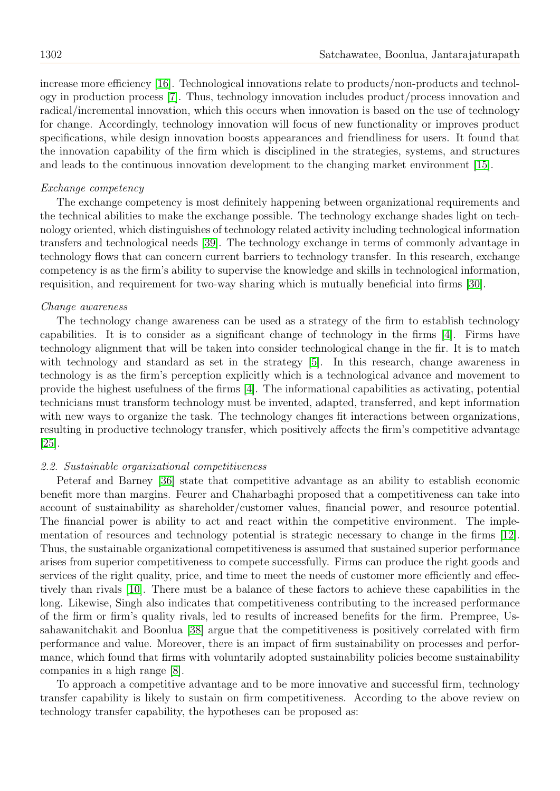increase more efficiency [\[16\]](#page-9-16). Technological innovations relate to products/non-products and technology in production process [\[7\]](#page-9-7). Thus, technology innovation includes product/process innovation and radical/incremental innovation, which this occurs when innovation is based on the use of technology for change. Accordingly, technology innovation will focus of new functionality or improves product specifications, while design innovation boosts appearances and friendliness for users. It found that the innovation capability of the firm which is disciplined in the strategies, systems, and structures and leads to the continuous innovation development to the changing market environment [\[15\]](#page-9-2).

## Exchange competency

The exchange competency is most definitely happening between organizational requirements and the technical abilities to make the exchange possible. The technology exchange shades light on technology oriented, which distinguishes of technology related activity including technological information transfers and technological needs [\[39\]](#page-10-7). The technology exchange in terms of commonly advantage in technology flows that can concern current barriers to technology transfer. In this research, exchange competency is as the firm's ability to supervise the knowledge and skills in technological information, requisition, and requirement for two-way sharing which is mutually beneficial into firms [\[30\]](#page-9-17).

## Change awareness

The technology change awareness can be used as a strategy of the firm to establish technology capabilities. It is to consider as a significant change of technology in the firms [\[4\]](#page-9-4). Firms have technology alignment that will be taken into consider technological change in the fir. It is to match with technology and standard as set in the strategy [\[5\]](#page-9-5). In this research, change awareness in technology is as the firm's perception explicitly which is a technological advance and movement to provide the highest usefulness of the firms [\[4\]](#page-9-4). The informational capabilities as activating, potential technicians must transform technology must be invented, adapted, transferred, and kept information with new ways to organize the task. The technology changes fit interactions between organizations, resulting in productive technology transfer, which positively affects the firm's competitive advantage [\[25\]](#page-9-18).

## 2.2. Sustainable organizational competitiveness

Peteraf and Barney [\[36\]](#page-10-8) state that competitive advantage as an ability to establish economic benefit more than margins. Feurer and Chaharbaghi proposed that a competitiveness can take into account of sustainability as shareholder/customer values, financial power, and resource potential. The financial power is ability to act and react within the competitive environment. The implementation of resources and technology potential is strategic necessary to change in the firms [\[12\]](#page-9-19). Thus, the sustainable organizational competitiveness is assumed that sustained superior performance arises from superior competitiveness to compete successfully. Firms can produce the right goods and services of the right quality, price, and time to meet the needs of customer more efficiently and effectively than rivals [\[10\]](#page-9-20). There must be a balance of these factors to achieve these capabilities in the long. Likewise, Singh also indicates that competitiveness contributing to the increased performance of the firm or firm's quality rivals, led to results of increased benefits for the firm. Prempree, Ussahawanitchakit and Boonlua [\[38\]](#page-10-9) argue that the competitiveness is positively correlated with firm performance and value. Moreover, there is an impact of firm sustainability on processes and performance, which found that firms with voluntarily adopted sustainability policies become sustainability companies in a high range [\[8\]](#page-9-21).

To approach a competitive advantage and to be more innovative and successful firm, technology transfer capability is likely to sustain on firm competitiveness. According to the above review on technology transfer capability, the hypotheses can be proposed as: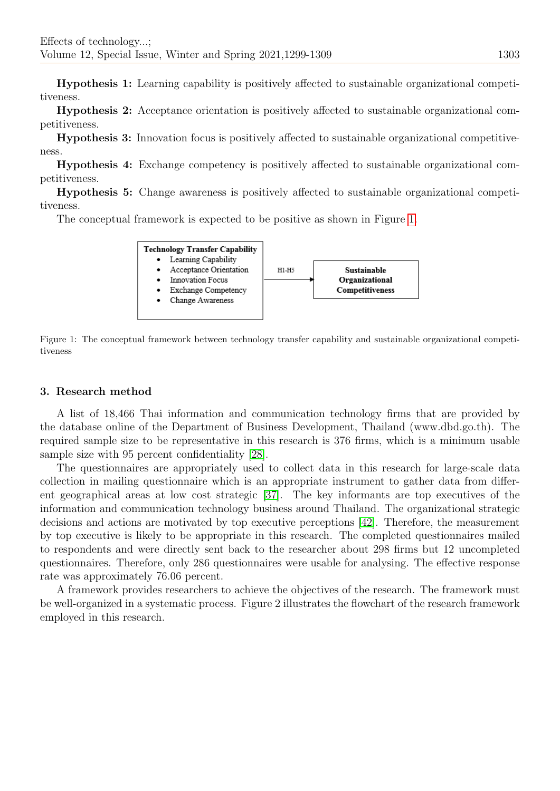Hypothesis 1: Learning capability is positively affected to sustainable organizational competitiveness.

Hypothesis 2: Acceptance orientation is positively affected to sustainable organizational competitiveness.

Hypothesis 3: Innovation focus is positively affected to sustainable organizational competitiveness.

Hypothesis 4: Exchange competency is positively affected to sustainable organizational competitiveness.

Hypothesis 5: Change awareness is positively affected to sustainable organizational competitiveness.

The conceptual framework is expected to be positive as shown in Figure [1.](#page-4-0)

<span id="page-4-0"></span>

Figure 1: The conceptual framework between technology transfer capability and sustainable organizational competitiveness

## 3. Research method

A list of 18,466 Thai information and communication technology firms that are provided by the database online of the Department of Business Development, Thailand (www.dbd.go.th). The required sample size to be representative in this research is 376 firms, which is a minimum usable sample size with 95 percent confidentiality [\[28\]](#page-9-22).

The questionnaires are appropriately used to collect data in this research for large-scale data collection in mailing questionnaire which is an appropriate instrument to gather data from different geographical areas at low cost strategic [\[37\]](#page-10-10). The key informants are top executives of the information and communication technology business around Thailand. The organizational strategic decisions and actions are motivated by top executive perceptions [\[42\]](#page-10-11). Therefore, the measurement by top executive is likely to be appropriate in this research. The completed questionnaires mailed to respondents and were directly sent back to the researcher about 298 firms but 12 uncompleted questionnaires. Therefore, only 286 questionnaires were usable for analysing. The effective response rate was approximately 76.06 percent.

A framework provides researchers to achieve the objectives of the research. The framework must be well-organized in a systematic process. Figure 2 illustrates the flowchart of the research framework employed in this research.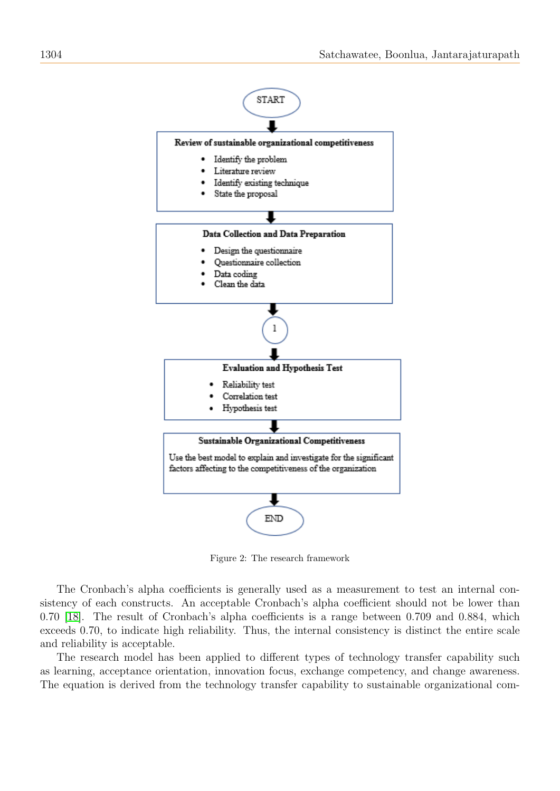

Figure 2: The research framework

The Cronbach's alpha coefficients is generally used as a measurement to test an internal consistency of each constructs. An acceptable Cronbach's alpha coefficient should not be lower than 0.70 [\[18\]](#page-9-23). The result of Cronbach's alpha coefficients is a range between 0.709 and 0.884, which exceeds 0.70, to indicate high reliability. Thus, the internal consistency is distinct the entire scale and reliability is acceptable.

The research model has been applied to different types of technology transfer capability such as learning, acceptance orientation, innovation focus, exchange competency, and change awareness. The equation is derived from the technology transfer capability to sustainable organizational com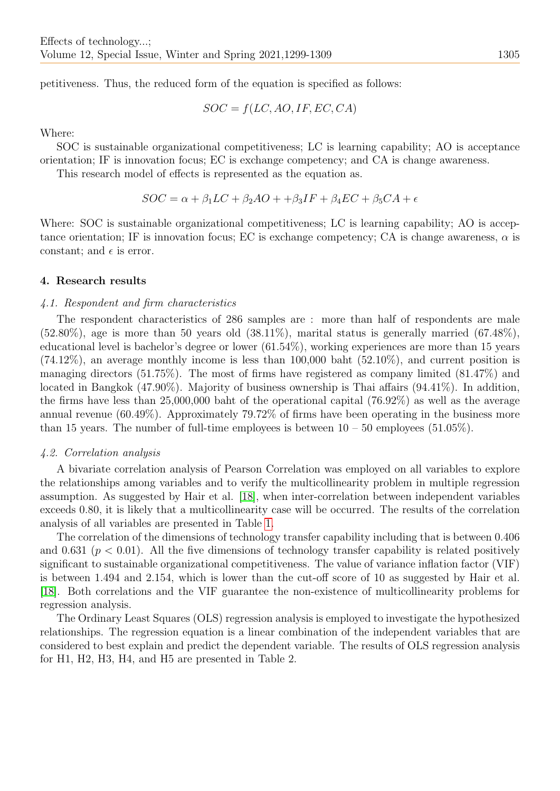petitiveness. Thus, the reduced form of the equation is specified as follows:

 $SOC = f(LC, AO, IF, EC, CA)$ 

Where:

SOC is sustainable organizational competitiveness; LC is learning capability; AO is acceptance orientation; IF is innovation focus; EC is exchange competency; and CA is change awareness.

This research model of effects is represented as the equation as.

$$
SOC = \alpha + \beta_1 LC + \beta_2 AO + \beta_3 IF + \beta_4 EC + \beta_5 CA + \epsilon
$$

Where: SOC is sustainable organizational competitiveness; LC is learning capability; AO is acceptance orientation; IF is innovation focus; EC is exchange competency; CA is change awareness,  $\alpha$  is constant; and  $\epsilon$  is error.

#### 4. Research results

#### 4.1. Respondent and firm characteristics

The respondent characteristics of 286 samples are : more than half of respondents are male  $(52.80\%)$ , age is more than 50 years old  $(38.11\%)$ , marital status is generally married  $(67.48\%)$ , educational level is bachelor's degree or lower (61.54%), working experiences are more than 15 years  $(74.12\%)$ , an average monthly income is less than 100,000 baht  $(52.10\%)$ , and current position is managing directors (51.75%). The most of firms have registered as company limited (81.47%) and located in Bangkok (47.90%). Majority of business ownership is Thai affairs (94.41%). In addition, the firms have less than 25,000,000 baht of the operational capital (76.92%) as well as the average annual revenue (60.49%). Approximately 79.72% of firms have been operating in the business more than 15 years. The number of full-time employees is between  $10 - 50$  employees (51.05%).

#### 4.2. Correlation analysis

A bivariate correlation analysis of Pearson Correlation was employed on all variables to explore the relationships among variables and to verify the multicollinearity problem in multiple regression assumption. As suggested by Hair et al. [\[18\]](#page-9-23), when inter-correlation between independent variables exceeds 0.80, it is likely that a multicollinearity case will be occurred. The results of the correlation analysis of all variables are presented in Table [1.](#page-7-0)

The correlation of the dimensions of technology transfer capability including that is between 0.406 and 0.631 ( $p < 0.01$ ). All the five dimensions of technology transfer capability is related positively significant to sustainable organizational competitiveness. The value of variance inflation factor (VIF) is between 1.494 and 2.154, which is lower than the cut-off score of 10 as suggested by Hair et al. [\[18\]](#page-9-23). Both correlations and the VIF guarantee the non-existence of multicollinearity problems for regression analysis.

The Ordinary Least Squares (OLS) regression analysis is employed to investigate the hypothesized relationships. The regression equation is a linear combination of the independent variables that are considered to best explain and predict the dependent variable. The results of OLS regression analysis for H1, H2, H3, H4, and H5 are presented in Table 2.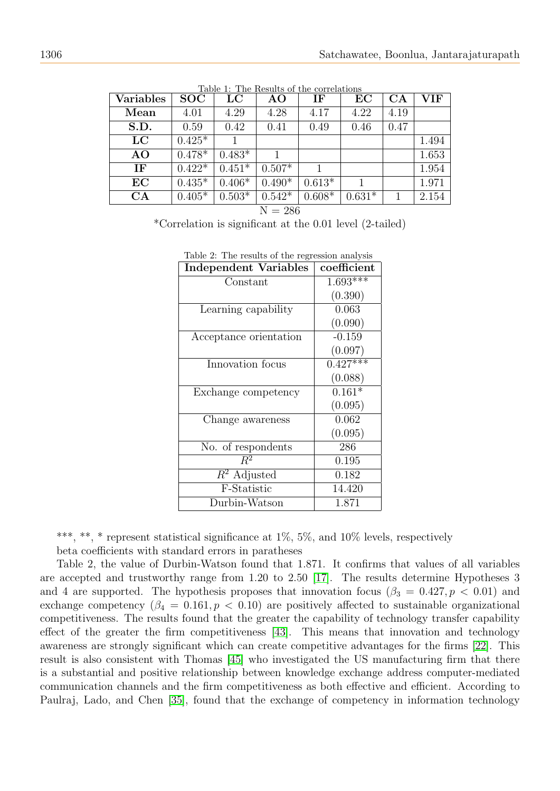<span id="page-7-0"></span>

| <b>Variables</b> | <b>SOC</b> | $_{\rm LC}$ | AO       | IF       | EC       | CA   | VIF   |
|------------------|------------|-------------|----------|----------|----------|------|-------|
| Mean             | 4.01       | 4.29        | 4.28     | 4.17     | 4.22     | 4.19 |       |
| S.D.             | 0.59       | 0.42        | 0.41     | 0.49     | 0.46     | 0.47 |       |
| LC               | $0.425*$   |             |          |          |          |      | 1.494 |
| AO               | $0.478*$   | $0.483*$    | 1.       |          |          |      | 1.653 |
| IF               | $0.422*$   | $0.451*$    | $0.507*$ |          |          |      | 1.954 |
| EC               | $0.435*$   | $0.406*$    | $0.490*$ | $0.613*$ |          |      | 1.971 |
| CA               | $0.405*$   | $0.503*$    | $0.542*$ | $0.608*$ | $0.631*$ |      | 2.154 |

Table 1: The Results of the correlations

 $N = 286$ 

\*Correlation is significant at the 0.01 level (2-tailed)

| <b>Independent Variables</b> | coefficient            |
|------------------------------|------------------------|
| Constant                     | $1.693***$             |
|                              | (0.390)                |
| Learning capability          | 0.063                  |
|                              | (0.090)                |
| Acceptance orientation       | $-0.159$               |
|                              | (0.097)                |
| Innovation focus             | $\overline{0.427}$ *** |
|                              | (0.088)                |
| Exchange competency          | $0.161*$               |
|                              | (0.095)                |
| Change awareness             | 0.062                  |
|                              | (0.095)                |
| No. of respondents           | 286                    |
| $R^2$                        | 0.195                  |
| $R^2$ Adjusted               | 0.182                  |
| F-Statistic                  | 14.420                 |
| Durbin-Watson                | 1.871                  |

|  | Table 2: The results of the regression analysis |
|--|-------------------------------------------------|
|  |                                                 |

\*\*\*, \*\*, \* represent statistical significance at  $1\%$ ,  $5\%$ , and  $10\%$  levels, respectively beta coefficients with standard errors in paratheses

Table 2, the value of Durbin-Watson found that 1.871. It confirms that values of all variables are accepted and trustworthy range from 1.20 to 2.50 [\[17\]](#page-9-24). The results determine Hypotheses 3 and 4 are supported. The hypothesis proposes that innovation focus ( $\beta_3 = 0.427, p < 0.01$ ) and exchange competency  $(\beta_4 = 0.161, p < 0.10)$  are positively affected to sustainable organizational competitiveness. The results found that the greater the capability of technology transfer capability effect of the greater the firm competitiveness [\[43\]](#page-10-12). This means that innovation and technology awareness are strongly significant which can create competitive advantages for the firms [\[22\]](#page-9-25). This result is also consistent with Thomas [\[45\]](#page-10-13) who investigated the US manufacturing firm that there is a substantial and positive relationship between knowledge exchange address computer-mediated communication channels and the firm competitiveness as both effective and efficient. According to Paulraj, Lado, and Chen [\[35\]](#page-10-14), found that the exchange of competency in information technology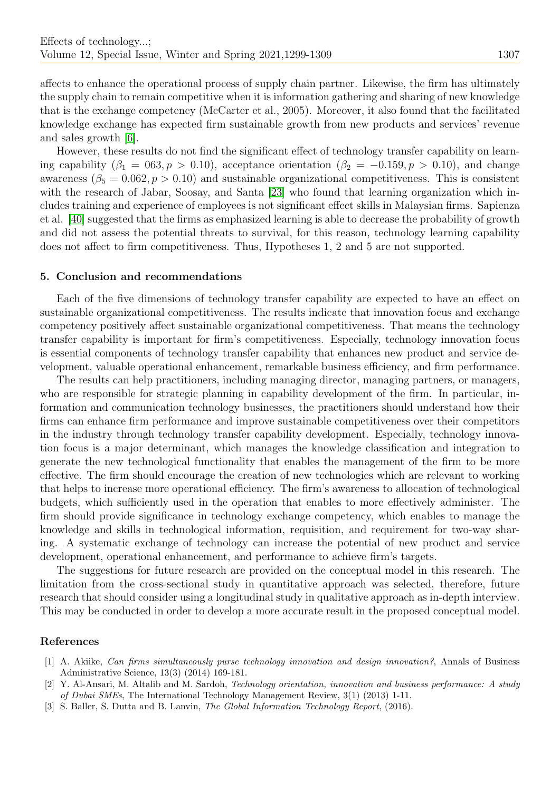affects to enhance the operational process of supply chain partner. Likewise, the firm has ultimately the supply chain to remain competitive when it is information gathering and sharing of new knowledge that is the exchange competency (McCarter et al., 2005). Moreover, it also found that the facilitated knowledge exchange has expected firm sustainable growth from new products and services' revenue and sales growth [\[6\]](#page-9-6).

However, these results do not find the significant effect of technology transfer capability on learning capability  $(\beta_1 = 063, p > 0.10)$ , acceptance orientation  $(\beta_2 = -0.159, p > 0.10)$ , and change awareness ( $\beta_5 = 0.062, p > 0.10$ ) and sustainable organizational competitiveness. This is consistent with the research of Jabar, Soosay, and Santa [\[23\]](#page-9-26) who found that learning organization which includes training and experience of employees is not significant effect skills in Malaysian firms. Sapienza et al. [\[40\]](#page-10-15) suggested that the firms as emphasized learning is able to decrease the probability of growth and did not assess the potential threats to survival, for this reason, technology learning capability does not affect to firm competitiveness. Thus, Hypotheses 1, 2 and 5 are not supported.

#### 5. Conclusion and recommendations

Each of the five dimensions of technology transfer capability are expected to have an effect on sustainable organizational competitiveness. The results indicate that innovation focus and exchange competency positively affect sustainable organizational competitiveness. That means the technology transfer capability is important for firm's competitiveness. Especially, technology innovation focus is essential components of technology transfer capability that enhances new product and service development, valuable operational enhancement, remarkable business efficiency, and firm performance.

The results can help practitioners, including managing director, managing partners, or managers, who are responsible for strategic planning in capability development of the firm. In particular, information and communication technology businesses, the practitioners should understand how their firms can enhance firm performance and improve sustainable competitiveness over their competitors in the industry through technology transfer capability development. Especially, technology innovation focus is a major determinant, which manages the knowledge classification and integration to generate the new technological functionality that enables the management of the firm to be more effective. The firm should encourage the creation of new technologies which are relevant to working that helps to increase more operational efficiency. The firm's awareness to allocation of technological budgets, which sufficiently used in the operation that enables to more effectively administer. The firm should provide significance in technology exchange competency, which enables to manage the knowledge and skills in technological information, requisition, and requirement for two-way sharing. A systematic exchange of technology can increase the potential of new product and service development, operational enhancement, and performance to achieve firm's targets.

The suggestions for future research are provided on the conceptual model in this research. The limitation from the cross-sectional study in quantitative approach was selected, therefore, future research that should consider using a longitudinal study in qualitative approach as in-depth interview. This may be conducted in order to develop a more accurate result in the proposed conceptual model.

# References

- <span id="page-8-1"></span>[1] A. Akiike, Can firms simultaneously purse technology innovation and design innovation?, Annals of Business Administrative Science, 13(3) (2014) 169-181.
- <span id="page-8-2"></span>[2] Y. Al-Ansari, M. Altalib and M. Sardoh, Technology orientation, innovation and business performance: A study of Dubai SMEs, The International Technology Management Review, 3(1) (2013) 1-11.
- <span id="page-8-0"></span>[3] S. Baller, S. Dutta and B. Lanvin, *The Global Information Technology Report*, (2016).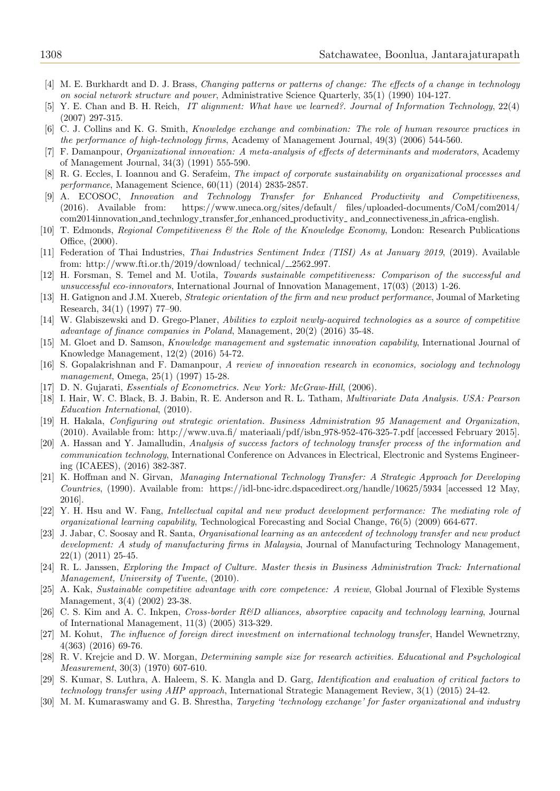- <span id="page-9-4"></span>[4] M. E. Burkhardt and D. J. Brass, Changing patterns or patterns of change: The effects of a change in technology on social network structure and power, Administrative Science Quarterly, 35(1) (1990) 104-127.
- <span id="page-9-5"></span>[5] Y. E. Chan and B. H. Reich, IT alignment: What have we learned?. Journal of Information Technology, 22(4) (2007) 297-315.
- <span id="page-9-6"></span>[6] C. J. Collins and K. G. Smith, Knowledge exchange and combination: The role of human resource practices in the performance of high-technology firms, Academy of Management Journal, 49(3) (2006) 544-560.
- <span id="page-9-7"></span>[7] F. Damanpour, Organizational innovation: A meta-analysis of effects of determinants and moderators, Academy of Management Journal, 34(3) (1991) 555-590.
- <span id="page-9-21"></span>[8] R. G. Eccles, I. Ioannou and G. Serafeim, The impact of corporate sustainability on organizational processes and performance, Management Science, 60(11) (2014) 2835-2857.
- <span id="page-9-12"></span>[9] A. ECOSOC, Innovation and Technology Transfer for Enhanced Productivity and Competitiveness, (2016). Available from: https://www.uneca.org/sites/default/ files/uploaded-documents/CoM/com2014/ com2014innovation and technlogy transfer for enhanced productivity and connectiveness in africa-english.
- <span id="page-9-20"></span>[10] T. Edmonds, Regional Competitiveness & the Role of the Knowledge Economy, London: Research Publications Office, (2000).
- <span id="page-9-9"></span>[11] Federation of Thai Industries, Thai Industries Sentiment Index (TISI) As at January 2019, (2019). Available from: http://www.fti.or.th/2019/download/ technical/ $\_2562.997$ .
- <span id="page-9-19"></span>[12] H. Forsman, S. Temel and M. Uotila, Towards sustainable competitiveness: Comparison of the successful and unsuccessful eco-innovators, International Journal of Innovation Management, 17(03) (2013) 1-26.
- <span id="page-9-14"></span>[13] H. Gatignon and J.M. Xuereb, Strategic orientation of the firm and new product performance, Joumal of Marketing Research, 34(1) (1997) 77–90.
- <span id="page-9-1"></span>[14] W. Glabiszewski and D. Grego-Planer, Abilities to exploit newly-acquired technologies as a source of competitive advantage of finance companies in Poland, Management, 20(2) (2016) 35-48.
- <span id="page-9-2"></span>[15] M. Gloet and D. Samson, Knowledge management and systematic innovation capability, International Journal of Knowledge Management, 12(2) (2016) 54-72.
- <span id="page-9-16"></span>[16] S. Gopalakrishnan and F. Damanpour, A review of innovation research in economics, sociology and technology management, Omega, 25(1) (1997) 15-28.
- <span id="page-9-24"></span>[17] D. N. Gujarati, Essentials of Econometrics. New York: McGraw-Hill, (2006).
- <span id="page-9-23"></span>[18] I. Hair, W. C. Black, B. J. Babin, R. E. Anderson and R. L. Tatham, Multivariate Data Analysis. USA: Pearson Education International, (2010).
- <span id="page-9-15"></span>[19] H. Hakala, Configuring out strategic orientation. Business Administration 95 Management and Organization, (2010). Available from: http://www.uva.fi/ materiaali/pdf/isbn 978-952-476-325-7.pdf [accessed February 2015].
- <span id="page-9-8"></span>[20] A. Hassan and Y. Jamalludin, Analysis of success factors of technology transfer process of the information and communication technology, International Conference on Advances in Electrical, Electronic and Systems Engineering (ICAEES), (2016) 382-387.
- <span id="page-9-10"></span>[21] K. Hoffman and N. Girvan, Managing International Technology Transfer: A Strategic Approach for Developing Countries, (1990). Available from: https://idl-bnc-idrc.dspacedirect.org/handle/10625/5934 [accessed 12 May, 2016].
- <span id="page-9-25"></span>[22] Y. H. Hsu and W. Fang, Intellectual capital and new product development performance: The mediating role of organizational learning capability, Technological Forecasting and Social Change, 76(5) (2009) 664-677.
- <span id="page-9-26"></span>[23] J. Jabar, C. Soosay and R. Santa, Organisational learning as an antecedent of technology transfer and new product development: A study of manufacturing firms in Malaysia, Journal of Manufacturing Technology Management, 22(1) (2011) 25-45.
- <span id="page-9-11"></span>[24] R. L. Janssen, Exploring the Impact of Culture. Master thesis in Business Administration Track: International Management, University of Twente, (2010).
- <span id="page-9-18"></span>[25] A. Kak, Sustainable competitive advantage with core competence: A review, Global Journal of Flexible Systems Management, 3(4) (2002) 23-38.
- <span id="page-9-13"></span>[26] C. S. Kim and A. C. Inkpen, Cross-border R&D alliances, absorptive capacity and technology learning, Journal of International Management, 11(3) (2005) 313-329.
- <span id="page-9-0"></span>[27] M. Kohut, The influence of foreign direct investment on international technology transfer, Handel Wewnetrzny, 4(363) (2016) 69-76.
- <span id="page-9-22"></span>[28] R. V. Krejcie and D. W. Morgan, Determining sample size for research activities. Educational and Psychological Measurement, 30(3) (1970) 607-610.
- <span id="page-9-3"></span>[29] S. Kumar, S. Luthra, A. Haleem, S. K. Mangla and D. Garg, Identification and evaluation of critical factors to technology transfer using AHP approach, International Strategic Management Review, 3(1) (2015) 24-42.
- <span id="page-9-17"></span>[30] M. M. Kumaraswamy and G. B. Shrestha, *Targeting 'technology exchange' for faster organizational and industry*